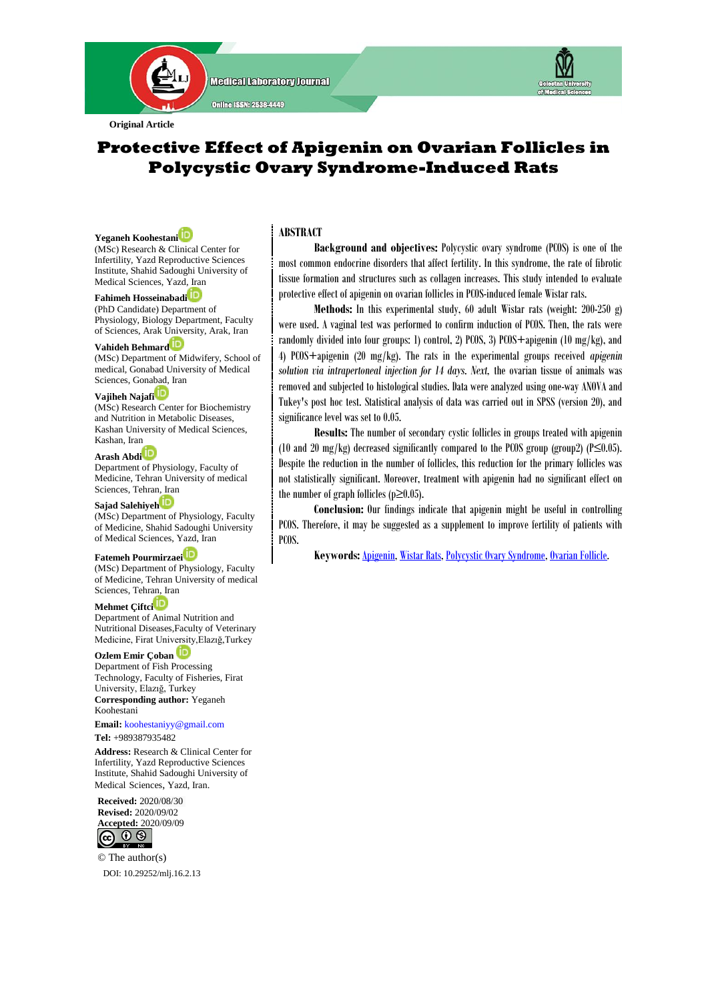

# **Protective Effect of Apigenin on Ovarian Follicles in Polycystic Ovary Syndrome-Induced Rats**

**Yeganeh Koohestan[i](https://orcid.org/000-0003-2311-0125)** (MSc) Research & Clinical Center for Infertility, Yazd Reproductive Sciences Institute, Shahid Sadoughi University of

**Fahimeh Hosseinabadi** (PhD Candidate) Department of

Medical Sciences, Yazd, Iran

Physiology, Biology Department, Faculty of Sciences, Arak University, Arak, Iran

#### **Vahideh Behmar[d](https://orcid.org/0000-0002-6035-4113)**

(MSc) Department of Midwifery, School of medical, Gonabad University of Medical Sciences, Gona[bad,](https://orcid.org/0000-0001-6950-8409) Iran

#### **Vajiheh Najafi**

(MSc) Research Center for Biochemistry and Nutrition in Metabolic Diseases, Kashan University of Medical Sciences, Kashan, Iran

#### **Arash Abd[i](https://orcid.org/0000-0002-3009-8710)**

Department of Physiology, Faculty of Medicine, Tehran University of medical Sciences, Tehran, Iran

## **Sajad Salehiye[h](https://orcid.org/0000-0003-1388-0740)**

(MSc) Department of Physiology, Faculty of Medicine, Shahid Sadoughi University of Medical Sciences, Yazd, Iran

#### **Fatemeh Pourmirzaei**

(MSc) Department of Physiology, Faculty of Medicine, Tehran University of medical Sciences, Tehran, Iran

## **Mehmet Çiftc[i](https://orcid.org/0000-0002-3009-8710)**

Department of Animal Nutrition and Nutritional Diseases,Faculty of Veterinary Medicine, Firat University,Elazığ,Turkey

**Ozlem Emir Çoban** Department of Fish Processing Technology, Faculty of Fisheries, Firat University, Elazığ, Turkey **Corresponding author:** Yeganeh Koohestani

**Email:** [koohestaniyy@gmail.com](mailto:koohestaniyy@gmail.com)

**Tel:** +989387935482

**Address:** Research & Clinical Center for Infertility, Yazd Reproductive Sciences Institute, Shahid Sadoughi University of Medical Sciences, Yazd, Iran.

**Received:** 2020/08/30 **Revised:** 2020/09/02 **Accepted:** 2020/09/09



© The author(s) DOI[: 10.29252/mlj.16.2.13](file:///E:/semnani/2020/4%20Jul-Aug%202020/1-article%20A-10-913-1-nasir/10.29252/mlj.14.4.1)

## **ABSTRACT**

 **Background and objectives:** Polycystic ovary syndrome (PCOS) is one of the most common endocrine disorders that affect fertility. In this syndrome, the rate of fibrotic tissue formation and structures such as collagen increases. This study intended to evaluate protective effect of apigenin on ovarian follicles in PCOS-induced female Wistar rats.

 **Methods:** In this experimental study, 60 adult Wistar rats (weight: 200-250 g) were used. A vaginal test was performed to confirm induction of PCOS. Then, the rats were randomly divided into four groups: 1) control, 2) PCOS, 3) PCOS+apigenin (10 mg/kg), and 4) PCOS+apigenin (20 mg/kg). The rats in the experimental groups received *apigenin solution via intrapertoneal injection for 14 days. Next,* the ovarian tissue of animals was removed and subjected to histological studies. Data were analyzed using one-way ANOVA and Tukey's post hoc test. Statistical analysis of data was carried out in SPSS (version 20), and significance level was set to 0.05.

 **Results:** The number of secondary cystic follicles in groups treated with apigenin (10 and 20 mg/kg) decreased significantly compared to the PCOS group (group2) (P≤0.05). Despite the reduction in the number of follicles, this reduction for the primary follicles was not statistically significant. Moreover, treatment with apigenin had no significant effect on the number of graph follicles ( $p\geq 0.05$ ).

 **Conclusion:** Our findings indicate that apigenin might be useful in controlling PCOS. Therefore, it may be suggested as a supplement to improve fertility of patients with PCOS.

 **Keywords:**[Apigenin,](https://www.ncbi.nlm.nih.gov/mesh/68047310) [Wistar Rats,](https://www.ncbi.nlm.nih.gov/mesh/68017208) [Polycystic Ovary Syndrome,](https://www.ncbi.nlm.nih.gov/mesh/?term=Polycystic+Ovary+Syndrome) [Ovarian Follicle.](https://www.ncbi.nlm.nih.gov/mesh/68006080)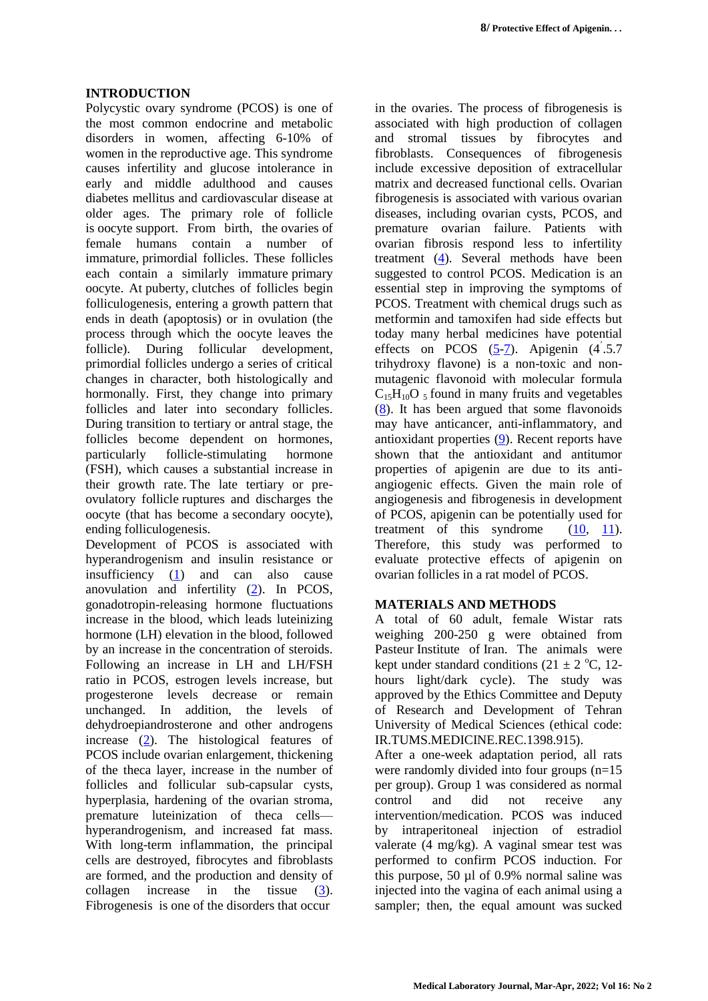## **INTRODUCTION**

Polycystic ovary syndrome (PCOS) is one of the most common endocrine and metabolic disorders in women, affecting 6-10% of women in the reproductive age. This syndrome causes infertility and glucose intolerance in early and middle adulthood and causes diabetes mellitus and cardiovascular disease at older ages. The primary role of follicle is [oocyte](https://en.wikipedia.org/wiki/Oocyte) support. From birth, the [ovaries](https://en.wikipedia.org/wiki/Ovaries) of female humans contain a number of immature, [primordial follicles.](https://en.wikipedia.org/wiki/Folliculogenesis#Primordial) These follicles each contain a similarly immature [primary](https://en.wikipedia.org/wiki/Primary_oocyte)  [oocyte.](https://en.wikipedia.org/wiki/Primary_oocyte) At [puberty,](https://en.wikipedia.org/wiki/Puberty) clutches of follicles begin folliculogenesis, entering a growth pattern that ends in death (apoptosis) or in ovulation (the process through which the oocyte leaves the follicle). During follicular development, primordial follicles undergo a series of critical changes in character, both histologically and hormonally. First, they change into primary follicles and later into secondary follicles. During transition to [tertiary or antral stage, t](https://en.wikipedia.org/wiki/Folliculogenesis#Primordial)he follicles become dependent on hormones, particularly follicle-stimulating hormone (FSH), which causes a substantial increase in their growth rate. [The late tertiary or pre](https://en.wikipedia.org/wiki/Folliculogenesis#Late_tertiary_and_preovulatory_.28the_follicular_phase_of_the_menstrual_cycle.29)[ovulatory follicle](https://en.wikipedia.org/wiki/Folliculogenesis#Late_tertiary_and_preovulatory_.28the_follicular_phase_of_the_menstrual_cycle.29) ruptures and discharges the oocyte (that has become a [secondary oocyte\)](https://en.wikipedia.org/wiki/Secondary_oocyte), ending folliculogenesis.

Development of PCOS is associated with hyperandrogenism and insulin resistance or insufficiency  $(1)$  and can also cause anovulation and infertility [\(2\)](#page-5-8). In PCOS, gonadotropin-releasing hormone fluctuations increase in the blood, which leads luteinizing hormone (LH) elevation in the blood, followed by an increase in the concentration of steroids. Following an increase in LH and LH/FSH ratio in PCOS, estrogen levels increase, but progesterone levels decrease or remain unchanged. In addition, the levels of dehydroepiandrosterone and other androgens increase [\(2\)](#page-5-8). The histological features of PCOS include ovarian enlargement, thickening of the theca layer, increase in the number of follicles and follicular sub-capsular cysts, hyperplasia, hardening of the ovarian stroma, premature luteinization of theca cells hyperandrogenism, and increased fat mass. With long-term inflammation, the principal cells are destroyed, fibrocytes and fibroblasts are formed, and the production and density of collagen increase in the tissue [\(3\)](#page-5-9). Fibrogenesis is one of the disorders that occur

in the ovaries. The process of fibrogenesis is associated with high production of collagen and stromal tissues by fibrocytes and fibroblasts. Consequences of fibrogenesis include excessive deposition of extracellular matrix and decreased functional cells. Ovarian fibrogenesis is associated with various ovarian diseases, including ovarian cysts, PCOS, and premature ovarian failure. Patients with ovarian fibrosis respond less to infertility treatment [\(4\)](#page-5-0). Several methods have been suggested to control PCOS. Medication is an essential step in improving the symptoms of PCOS. Treatment with chemical drugs such as metformin and tamoxifen had side effects but today many herbal medicines have potential effects on PCOS  $(5-7)$  $(5-7)$ . Apigenin  $(4.5.7)$ trihydroxy flavone) is a non-toxic and nonmutagenic flavonoid with molecular formula  $C_{15}H_{10}O_5$  found in many fruits and vegetables  $(8)$ . It has been argued that some flavonoids may have anticancer, anti-inflammatory, and antioxidant properties [\(9\)](#page-5-4). Recent reports have shown that the antioxidant and antitumor properties of apigenin are due to its antiangiogenic effects. Given the main role of angiogenesis and fibrogenesis in development of PCOS, apigenin can be potentially used for treatment of this syndrome  $(10, 11)$  $(10, 11)$  $(10, 11)$ . Therefore, this study was performed to evaluate protective effects of apigenin on ovarian follicles in a rat model of PCOS.

#### **MATERIALS AND METHODS**

A total of 60 adult, female Wistar rats weighing 200-250 g were obtained from Pasteur Institute of Iran. The animals were kept under standard conditions  $(21 \pm 2 \degree C, 12$ hours light/dark cycle). The study was approved by the Ethics Committee and Deputy of Research and Development of Tehran University of Medical Sciences (ethical code: IR.TUMS.MEDICINE.REC.1398.915).

After a one-week adaptation period, all rats were randomly divided into four groups (n=15 per group). Group 1 was considered as normal control and did not receive any intervention/medication. PCOS was induced by intraperitoneal injection of estradiol valerate (4 mg/kg). A vaginal smear test was performed to confirm PCOS induction. For this purpose, 50 µl of 0.9% normal saline was injected into the vagina of each animal using a sampler; then, the equal amount was sucked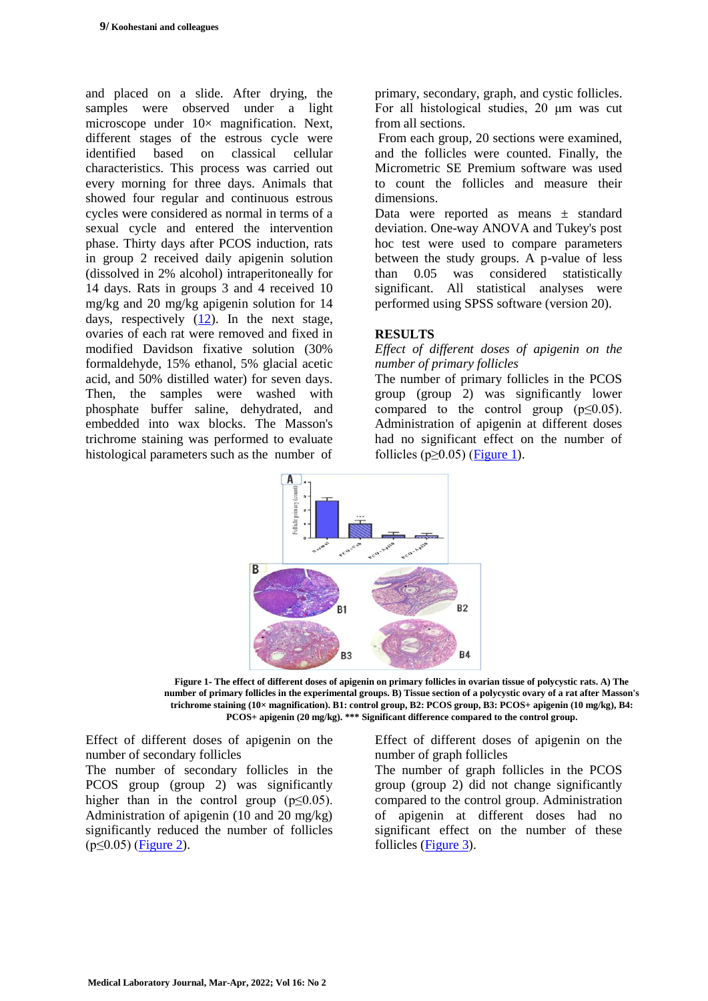and placed on a slide. After drying, the samples were observed under a light microscope under  $10\times$  magnification. Next, different stages of the estrous cycle were identified based on classical cellular characteristics. This process was carried out every morning for three days. Animals that showed four regular and continuous estrous cycles were considered as normal in terms of a sexual cycle and entered the intervention phase. Thirty days after PCOS induction, rats in group 2 received daily apigenin solution (dissolved in 2% alcohol) intraperitoneally for 14 days. Rats in groups 3 and 4 received 10 mg/kg and 20 mg/kg apigenin solution for 14 days, respectively [\(12\)](#page-5-10). In the next stage, ovaries of each rat were removed and fixed in modified Davidson fixative solution (30% formaldehyde, 15% ethanol, 5% glacial acetic acid, and 50% distilled water) for seven days. Then, the samples were washed with phosphate buffer saline, dehydrated, and embedded into wax blocks. The Masson's trichrome staining was performed to evaluate histological parameters such as the number of

primary, secondary, graph, and cystic follicles. For all histological studies, 20 μm was cut from all sections.

From each group, 20 sections were examined, and the follicles were counted. Finally, the Micrometric SE Premium software was used to count the follicles and measure their dimensions.

Data were reported as means  $\pm$  standard deviation. One-way ANOVA and Tukey's post hoc test were used to compare parameters between the study groups. A p-value of less than 0.05 was considered statistically significant. All statistical analyses were performed using SPSS software (version 20).

## **RESULTS**

#### *Effect of different doses of apigenin on the number of primary follicles*

The number of primary follicles in the PCOS group (group 2) was significantly lower compared to the control group  $(p \le 0.05)$ . Administration of apigenin at different doses had no significant effect on the number of follicles ( $p \ge 0.05$ ) [\(Figure 1\)](#page-2-0).



<span id="page-2-0"></span>**Figure 1- The effect of different doses of apigenin on primary follicles in ovarian tissue of polycystic rats. A) The number of primary follicles in the experimental groups. B) Tissue section of a polycystic ovary of a rat after Masson's trichrome staining (10× magnification). B1: control group, B2: PCOS group, B3: PCOS+ apigenin (10 mg/kg), B4: PCOS+ apigenin (20 mg/kg). \*\*\* Significant difference compared to the control group.**

Effect of different doses of apigenin on the number of secondary follicles

The number of secondary follicles in the PCOS group (group 2) was significantly higher than in the control group  $(p \le 0.05)$ . Administration of apigenin (10 and 20 mg/kg) significantly reduced the number of follicles (p≤0.05) [\(Figure 2\)](#page-3-1).

Effect of different doses of apigenin on the number of graph follicles

The number of graph follicles in the PCOS group (group 2) did not change significantly compared to the control group. Administration of apigenin at different doses had no significant effect on the number of these follicles [\(Figure 3\)](#page-3-0).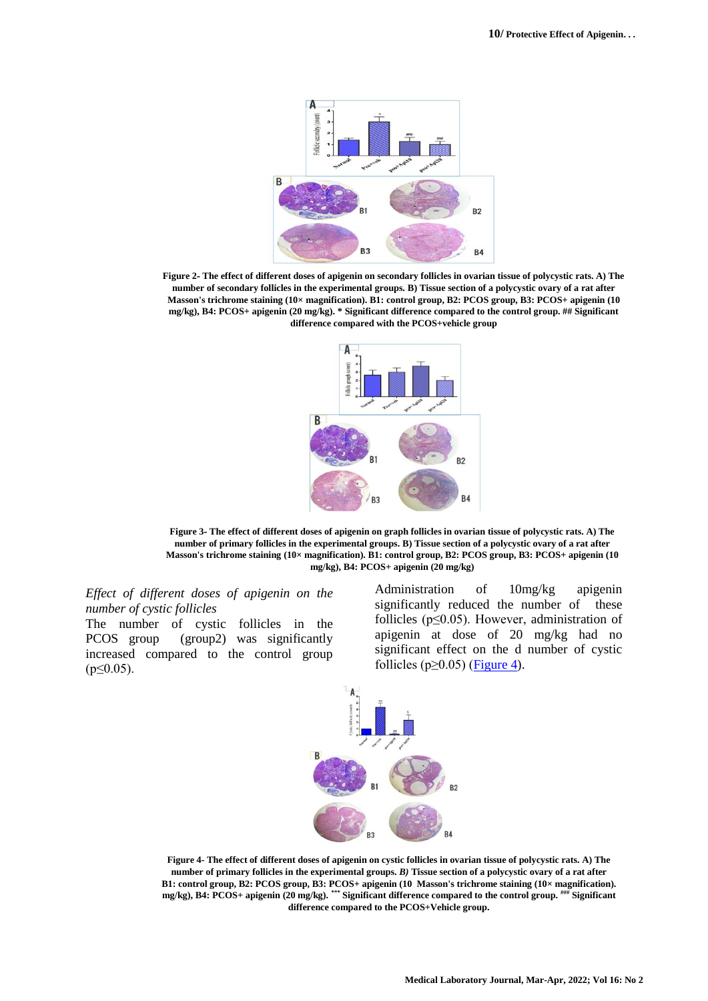

<span id="page-3-1"></span>**Figure 2- The effect of different doses of apigenin on secondary follicles in ovarian tissue of polycystic rats. A) The number of secondary follicles in the experimental groups. B) Tissue section of a polycystic ovary of a rat after Masson's trichrome staining (10× magnification). B1: control group, B2: PCOS group, B3: PCOS+ apigenin (10 mg/kg), B4: PCOS+ apigenin (20 mg/kg). \* Significant difference compared to the control group. ## Significant difference compared with the PCOS+vehicle group**



<span id="page-3-0"></span>**Figure 3- The effect of different doses of apigenin on graph follicles in ovarian tissue of polycystic rats. A) The number of primary follicles in the experimental groups. B) Tissue section of a polycystic ovary of a rat after Masson's trichrome staining (10× magnification). B1: control group, B2: PCOS group, B3: PCOS+ apigenin (10 mg/kg), B4: PCOS+ apigenin (20 mg/kg)**

*Effect of different doses of apigenin on the number of cystic follicles*

The number of cystic follicles in the PCOS group (group2) was significantly increased compared to the control group  $(p \le 0.05)$ .

Administration of 10mg/kg apigenin significantly reduced the number of these follicles ( $p \leq 0.05$ ). However, administration of apigenin at dose of 20 mg/kg had no significant effect on the d number of cystic follicles ( $p \ge 0.05$ ) [\(Figure 4\)](#page-3-2).



<span id="page-3-2"></span>**Figure 4- The effect of different doses of apigenin on cystic follicles in ovarian tissue of polycystic rats. A) The number of primary follicles in the experimental groups.** *B)* **Tissue section of a polycystic ovary of a rat after B1: control group, B2: PCOS group, B3: PCOS+ apigenin (10 Masson's trichrome staining (10× magnification). Significant ### Significant difference compared to the control group.** *\*\*\** **mg/kg), B4: PCOS+ apigenin (20 mg/kg). difference compared to the PCOS+Vehicle group.**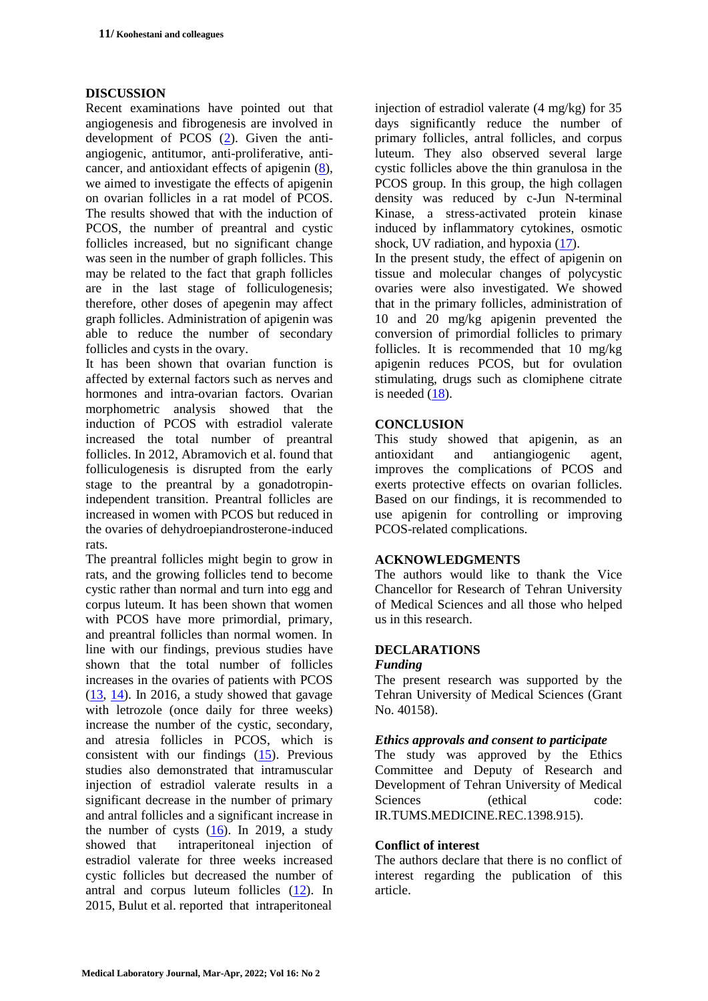## **DISCUSSION**

Recent examinations have pointed out that angiogenesis and fibrogenesis are involved in development of PCOS [\(2\)](#page-5-8). Given the antiangiogenic, antitumor, anti-proliferative, anticancer, and antioxidant effects of apigenin [\(8\)](#page-5-3), we aimed to investigate the effects of apigenin on ovarian follicles in a rat model of PCOS. The results showed that with the induction of PCOS, the number of preantral and cystic follicles increased, but no significant change was seen in the number of graph follicles. This may be related to the fact that graph follicles are in the last stage of folliculogenesis; therefore, other doses of apegenin may affect graph follicles. Administration of apigenin was able to reduce the number of secondary follicles and cysts in the ovary.

It has been shown that ovarian function is affected by external factors such as nerves and hormones and intra-ovarian factors. Ovarian morphometric analysis showed that the induction of PCOS with estradiol valerate increased the total number of preantral follicles. In 2012, Abramovich et al. found that folliculogenesis is disrupted from the early stage to the preantral by a gonadotropinindependent transition. Preantral follicles are increased in women with PCOS but reduced in the ovaries of dehydroepiandrosterone-induced rats.

The preantral follicles might begin to grow in rats, and the growing follicles tend to become cystic rather than normal and turn into egg and corpus luteum. It has been shown that women with PCOS have more primordial, primary, and preantral follicles than normal women. In line with our findings, previous studies have shown that the total number of follicles increases in the ovaries of patients with PCOS  $(13, 14)$  $(13, 14)$ . In 2016, a study showed that gavage with letrozole (once daily for three weeks) increase the number of the cystic, secondary, and atresia follicles in PCOS, which is consistent with our findings [\(15\)](#page-5-15). Previous studies also demonstrated that intramuscular injection of estradiol valerate results in a significant decrease in the number of primary and antral follicles and a significant increase in the number of cysts  $(16)$ . In 2019, a study showed that intraperitoneal injection of estradiol valerate for three weeks increased cystic follicles but decreased the number of antral and corpus luteum follicles [\(12\)](#page-5-10). In 2015, Bulut et al. reported that intraperitoneal

injection of estradiol valerate (4 mg/kg) for 35 days significantly reduce the number of primary follicles, antral follicles, and corpus luteum. They also observed several large cystic follicles above the thin granulosa in the PCOS group. In this group, the high collagen density was reduced by c-Jun N-terminal Kinase, a stress-activated protein kinase induced by inflammatory cytokines, osmotic shock, UV radiation, and hypoxia  $(17)$ .

In the present study, the effect of apigenin on tissue and molecular changes of polycystic ovaries were also investigated. We showed that in the primary follicles, administration of 10 and 20 mg/kg apigenin prevented the conversion of primordial follicles to primary follicles. It is recommended that 10 mg/kg apigenin reduces PCOS, but for ovulation stimulating, drugs such as clomiphene citrate is needed  $(18)$ .

## **CONCLUSION**

This study showed that apigenin, as an antioxidant and antiangiogenic agent, improves the complications of PCOS and exerts protective effects on ovarian follicles. Based on our findings, it is recommended to use apigenin for controlling or improving PCOS-related complications.

#### **ACKNOWLEDGMENTS**

The authors would like to thank the Vice Chancellor for Research of Tehran University of Medical Sciences and all those who helped us in this research.

#### **DECLARATIONS**

#### *Funding*

The present research was supported by the Tehran University of Medical Sciences (Grant No. 40158).

#### *Ethics approvals and consent to participate*

The study was approved by the Ethics Committee and Deputy of Research and Development of Tehran University of Medical Sciences (ethical code: IR.TUMS.MEDICINE.REC.1398.915).

#### **Conflict of interest**

The authors declare that there is no conflict of interest regarding the publication of this article.